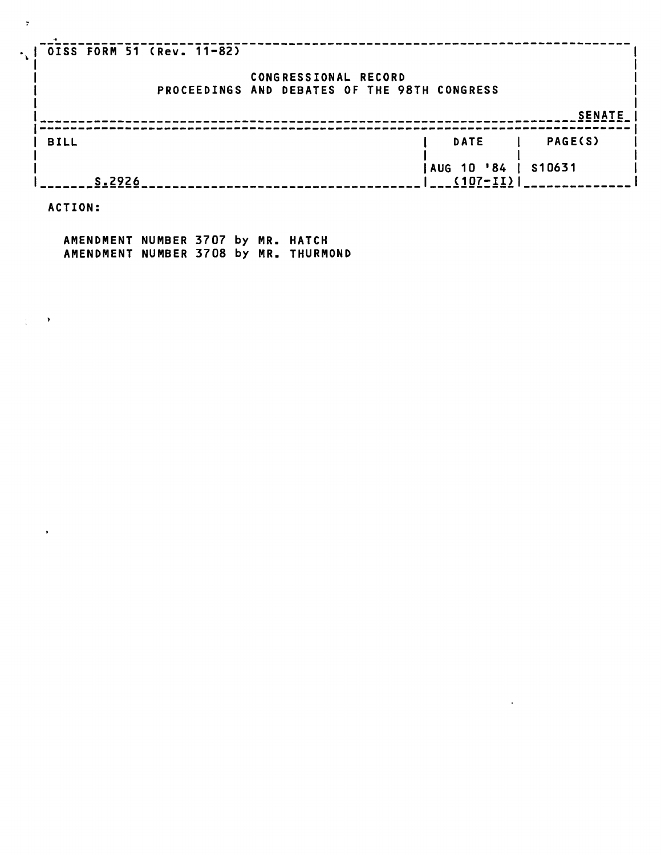| OISS FORM 51 (Rev. 11-82)                    |              |                |
|----------------------------------------------|--------------|----------------|
| CONGRESSIONAL RECORD                         |              |                |
| PROCEEDINGS AND DEBATES OF THE 98TH CONGRESS |              |                |
|                                              |              |                |
|                                              |              | <b>SENATE</b>  |
|                                              |              |                |
| <b>BILL</b>                                  | <b>DATE</b>  | <b>PAGE(S)</b> |
|                                              |              |                |
|                                              | AUG 10 '84   | S10631         |
| S.2926                                       | $(107 - II)$ |                |

 $\mathcal{L}^{\text{max}}_{\text{max}}$  , where  $\mathcal{L}^{\text{max}}_{\text{max}}$ 

**ACTION:** 

 $\gamma$  -  $\rightarrow$ 

 $\mathbf{F}^{(1)}$  .

 $\sim$ 

 $\mathbf{r}_{\mathbf{L}}$ 

**AMENDMENT NUMBER 3707 by MR. HATCH AMENDMENT NUMBER 3708 by MR. THURMOND**